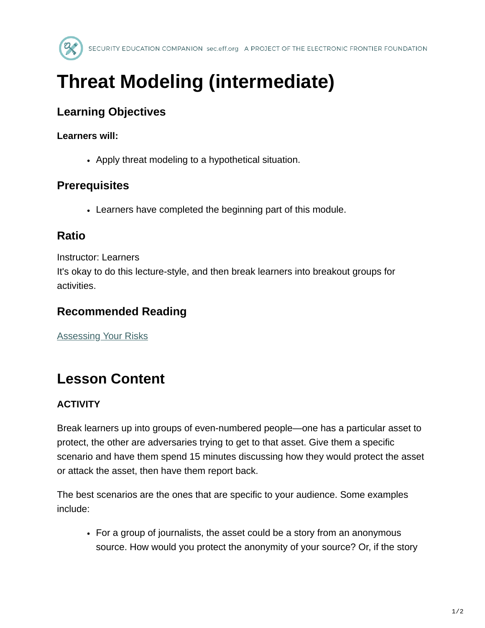

# **Threat Modeling (intermediate)**

## **Learning Objectives**

#### **Learners will:**

• Apply threat modeling to a hypothetical situation.

### **Prerequisites**

Learners have completed the beginning part of this module.

#### **Ratio**

Instructor: Learners

It's okay to do this lecture-style, and then break learners into breakout groups for activities.

### **Recommended Reading**

[Assessing Your Risks](https://ssd.eff.org/en/module/assessing-your-risks)

# **Lesson Content**

#### **ACTIVITY**

Break learners up into groups of even-numbered people—one has a particular asset to protect, the other are adversaries trying to get to that asset. Give them a specific scenario and have them spend 15 minutes discussing how they would protect the asset or attack the asset, then have them report back.

The best scenarios are the ones that are specific to your audience. Some examples include:

For a group of journalists, the asset could be a story from an anonymous source. How would you protect the anonymity of your source? Or, if the story